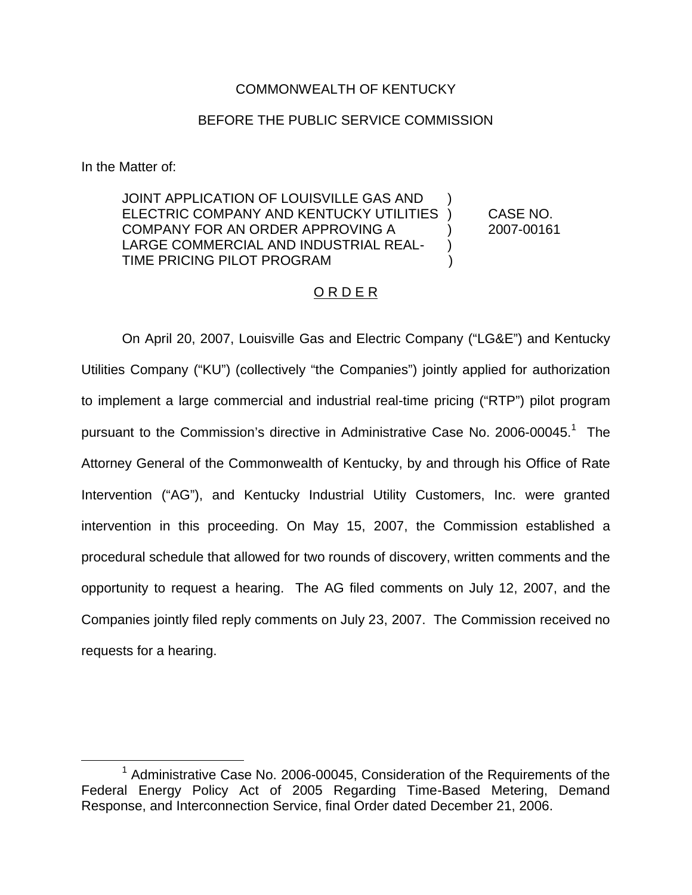# COMMONWEALTH OF KENTUCKY

### BEFORE THE PUBLIC SERVICE COMMISSION

In the Matter of:

JOINT APPLICATION OF LOUISVILLE GAS AND ELECTRIC COMPANY AND KENTUCKY UTILITIES ) CASE NO. COMPANY FOR AN ORDER APPROVING A (2007-00161) LARGE COMMERCIAL AND INDUSTRIAL REAL- ) TIME PRICING PILOT PROGRAM )

# O R D E R

On April 20, 2007, Louisville Gas and Electric Company ("LG&E") and Kentucky Utilities Company ("KU") (collectively "the Companies") jointly applied for authorization to implement a large commercial and industrial real-time pricing ("RTP") pilot program pursuant to the Commission's directive in Administrative Case No. 2006-00045.<sup>1</sup> The Attorney General of the Commonwealth of Kentucky, by and through his Office of Rate Intervention ("AG"), and Kentucky Industrial Utility Customers, Inc. were granted intervention in this proceeding. On May 15, 2007, the Commission established a procedural schedule that allowed for two rounds of discovery, written comments and the opportunity to request a hearing. The AG filed comments on July 12, 2007, and the Companies jointly filed reply comments on July 23, 2007. The Commission received no requests for a hearing.

 $1$  Administrative Case No. 2006-00045, Consideration of the Requirements of the Federal Energy Policy Act of 2005 Regarding Time-Based Metering, Demand Response, and Interconnection Service, final Order dated December 21, 2006.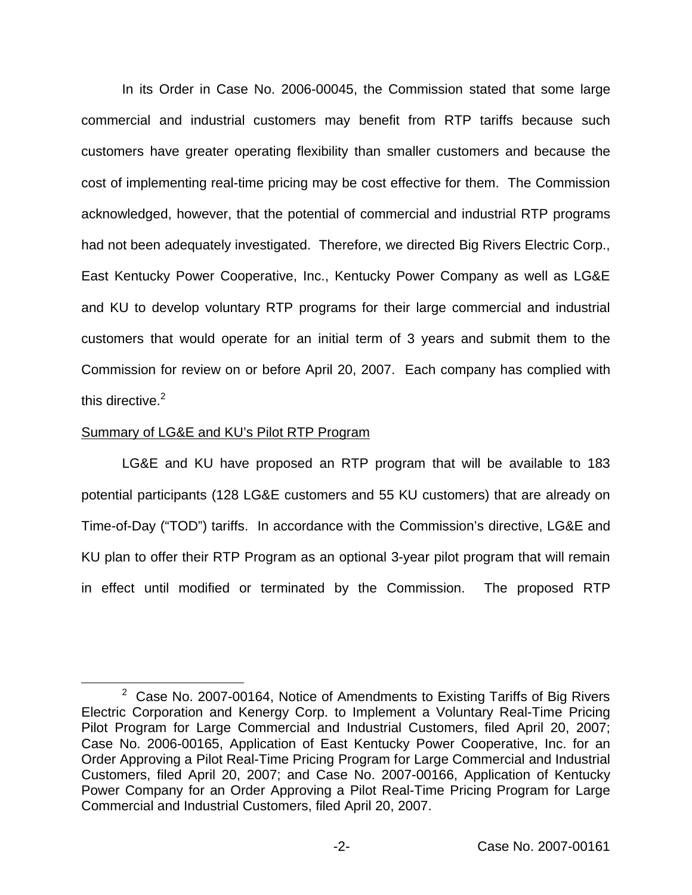In its Order in Case No. 2006-00045, the Commission stated that some large commercial and industrial customers may benefit from RTP tariffs because such customers have greater operating flexibility than smaller customers and because the cost of implementing real-time pricing may be cost effective for them. The Commission acknowledged, however, that the potential of commercial and industrial RTP programs had not been adequately investigated. Therefore, we directed Big Rivers Electric Corp., East Kentucky Power Cooperative, Inc., Kentucky Power Company as well as LG&E and KU to develop voluntary RTP programs for their large commercial and industrial customers that would operate for an initial term of 3 years and submit them to the Commission for review on or before April 20, 2007. Each company has complied with this directive.<sup>2</sup>

#### Summary of LG&E and KU's Pilot RTP Program

LG&E and KU have proposed an RTP program that will be available to 183 potential participants (128 LG&E customers and 55 KU customers) that are already on Time-of-Day ("TOD") tariffs. In accordance with the Commission's directive, LG&E and KU plan to offer their RTP Program as an optional 3-year pilot program that will remain in effect until modified or terminated by the Commission. The proposed RTP

 $2$  Case No. 2007-00164, Notice of Amendments to Existing Tariffs of Big Rivers Electric Corporation and Kenergy Corp. to Implement a Voluntary Real-Time Pricing Pilot Program for Large Commercial and Industrial Customers, filed April 20, 2007; Case No. 2006-00165, Application of East Kentucky Power Cooperative, Inc. for an Order Approving a Pilot Real-Time Pricing Program for Large Commercial and Industrial Customers, filed April 20, 2007; and Case No. 2007-00166, Application of Kentucky Power Company for an Order Approving a Pilot Real-Time Pricing Program for Large Commercial and Industrial Customers, filed April 20, 2007.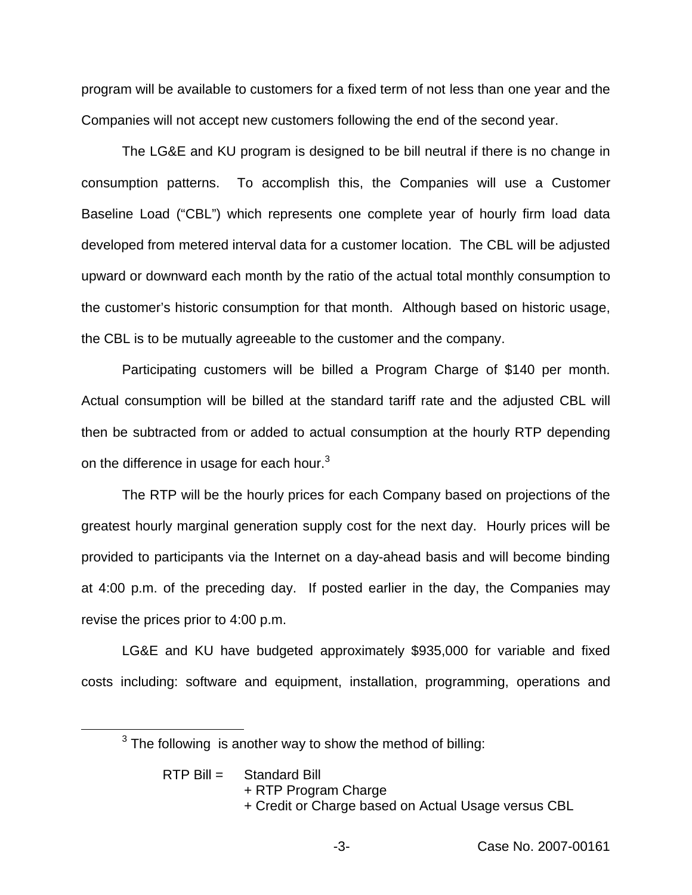program will be available to customers for a fixed term of not less than one year and the Companies will not accept new customers following the end of the second year.

The LG&E and KU program is designed to be bill neutral if there is no change in consumption patterns. To accomplish this, the Companies will use a Customer Baseline Load ("CBL") which represents one complete year of hourly firm load data developed from metered interval data for a customer location. The CBL will be adjusted upward or downward each month by the ratio of the actual total monthly consumption to the customer's historic consumption for that month. Although based on historic usage, the CBL is to be mutually agreeable to the customer and the company.

Participating customers will be billed a Program Charge of \$140 per month. Actual consumption will be billed at the standard tariff rate and the adjusted CBL will then be subtracted from or added to actual consumption at the hourly RTP depending on the difference in usage for each hour.<sup>3</sup>

The RTP will be the hourly prices for each Company based on projections of the greatest hourly marginal generation supply cost for the next day. Hourly prices will be provided to participants via the Internet on a day-ahead basis and will become binding at 4:00 p.m. of the preceding day. If posted earlier in the day, the Companies may revise the prices prior to 4:00 p.m.

LG&E and KU have budgeted approximately \$935,000 for variable and fixed costs including: software and equipment, installation, programming, operations and

 $3$  The following is another way to show the method of billing:

RTP Bill = Standard Bill

- + RTP Program Charge
- + Credit or Charge based on Actual Usage versus CBL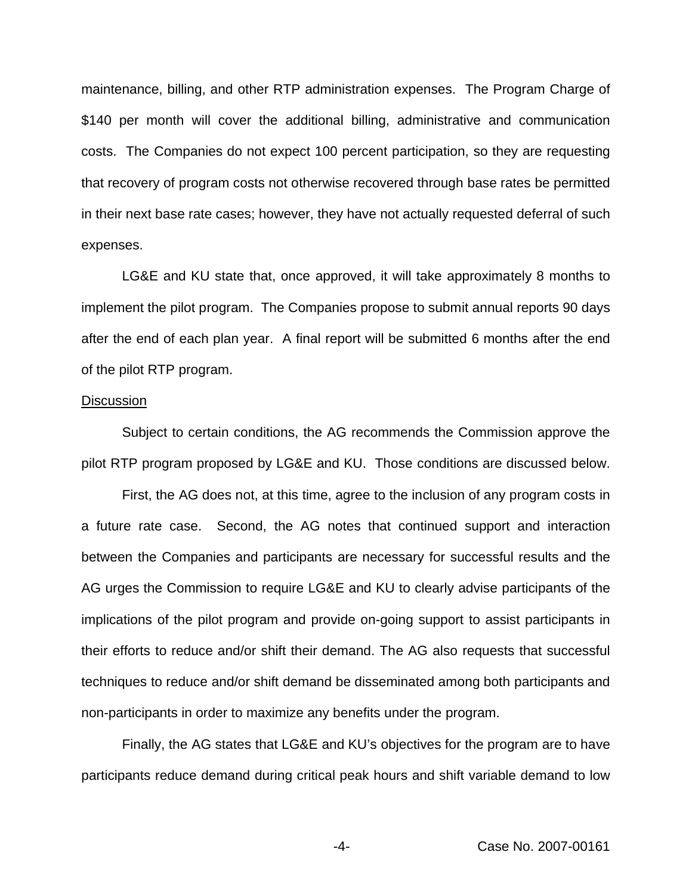maintenance, billing, and other RTP administration expenses. The Program Charge of \$140 per month will cover the additional billing, administrative and communication costs. The Companies do not expect 100 percent participation, so they are requesting that recovery of program costs not otherwise recovered through base rates be permitted in their next base rate cases; however, they have not actually requested deferral of such expenses.

LG&E and KU state that, once approved, it will take approximately 8 months to implement the pilot program. The Companies propose to submit annual reports 90 days after the end of each plan year. A final report will be submitted 6 months after the end of the pilot RTP program.

#### **Discussion**

Subject to certain conditions, the AG recommends the Commission approve the pilot RTP program proposed by LG&E and KU. Those conditions are discussed below.

First, the AG does not, at this time, agree to the inclusion of any program costs in a future rate case. Second, the AG notes that continued support and interaction between the Companies and participants are necessary for successful results and the AG urges the Commission to require LG&E and KU to clearly advise participants of the implications of the pilot program and provide on-going support to assist participants in their efforts to reduce and/or shift their demand. The AG also requests that successful techniques to reduce and/or shift demand be disseminated among both participants and non-participants in order to maximize any benefits under the program.

Finally, the AG states that LG&E and KU's objectives for the program are to have participants reduce demand during critical peak hours and shift variable demand to low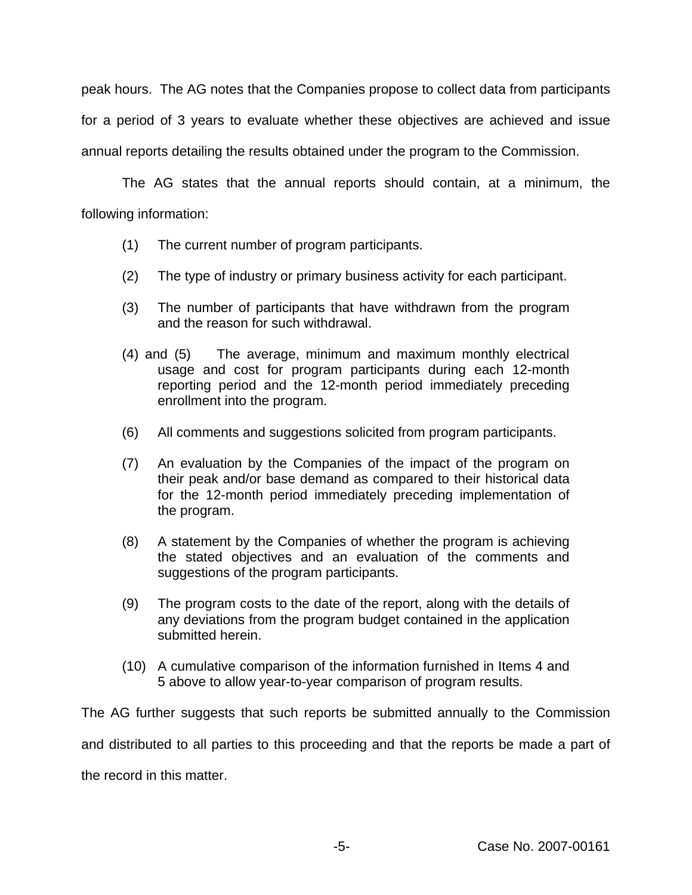peak hours. The AG notes that the Companies propose to collect data from participants for a period of 3 years to evaluate whether these objectives are achieved and issue annual reports detailing the results obtained under the program to the Commission.

The AG states that the annual reports should contain, at a minimum, the following information:

- (1) The current number of program participants.
- (2) The type of industry or primary business activity for each participant.
- (3) The number of participants that have withdrawn from the program and the reason for such withdrawal.
- (4) and (5) The average, minimum and maximum monthly electrical usage and cost for program participants during each 12-month reporting period and the 12-month period immediately preceding enrollment into the program.
- (6) All comments and suggestions solicited from program participants.
- (7) An evaluation by the Companies of the impact of the program on their peak and/or base demand as compared to their historical data for the 12-month period immediately preceding implementation of the program.
- (8) A statement by the Companies of whether the program is achieving the stated objectives and an evaluation of the comments and suggestions of the program participants.
- (9) The program costs to the date of the report, along with the details of any deviations from the program budget contained in the application submitted herein.
- (10) A cumulative comparison of the information furnished in Items 4 and 5 above to allow year-to-year comparison of program results.

The AG further suggests that such reports be submitted annually to the Commission and distributed to all parties to this proceeding and that the reports be made a part of the record in this matter.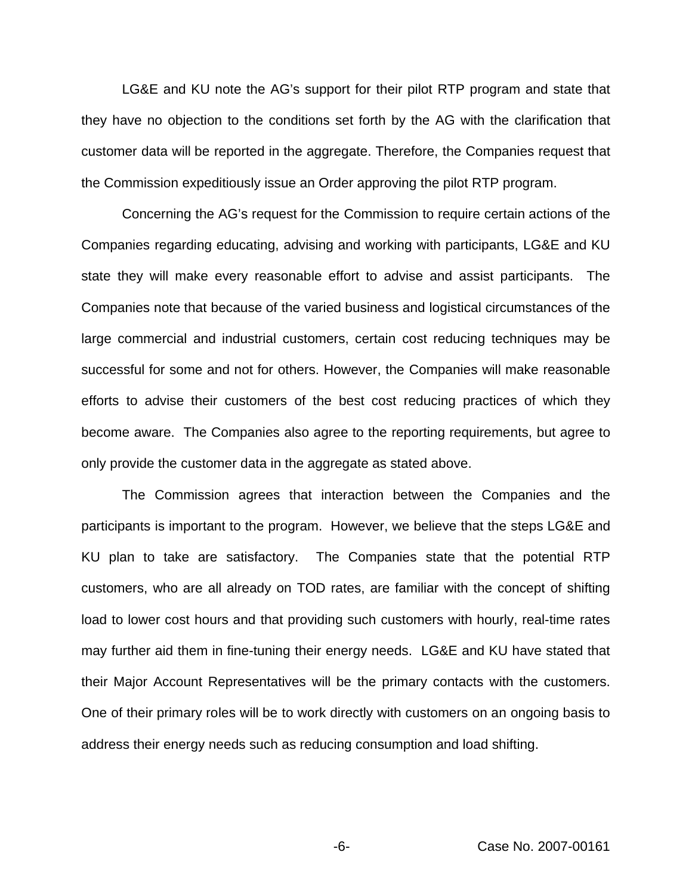LG&E and KU note the AG's support for their pilot RTP program and state that they have no objection to the conditions set forth by the AG with the clarification that customer data will be reported in the aggregate. Therefore, the Companies request that the Commission expeditiously issue an Order approving the pilot RTP program.

Concerning the AG's request for the Commission to require certain actions of the Companies regarding educating, advising and working with participants, LG&E and KU state they will make every reasonable effort to advise and assist participants. The Companies note that because of the varied business and logistical circumstances of the large commercial and industrial customers, certain cost reducing techniques may be successful for some and not for others. However, the Companies will make reasonable efforts to advise their customers of the best cost reducing practices of which they become aware. The Companies also agree to the reporting requirements, but agree to only provide the customer data in the aggregate as stated above.

The Commission agrees that interaction between the Companies and the participants is important to the program. However, we believe that the steps LG&E and KU plan to take are satisfactory. The Companies state that the potential RTP customers, who are all already on TOD rates, are familiar with the concept of shifting load to lower cost hours and that providing such customers with hourly, real-time rates may further aid them in fine-tuning their energy needs. LG&E and KU have stated that their Major Account Representatives will be the primary contacts with the customers. One of their primary roles will be to work directly with customers on an ongoing basis to address their energy needs such as reducing consumption and load shifting.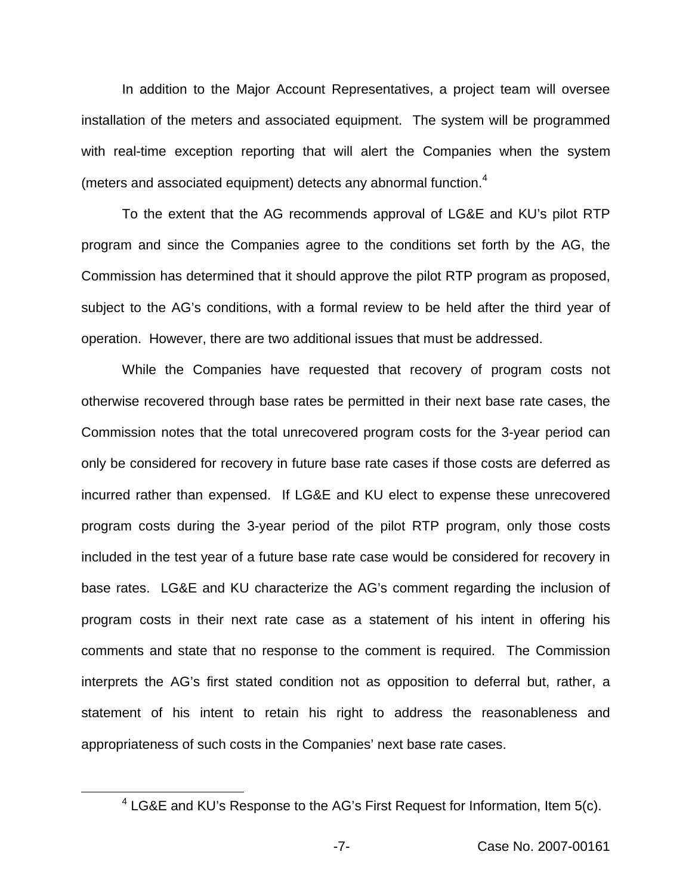In addition to the Major Account Representatives, a project team will oversee installation of the meters and associated equipment. The system will be programmed with real-time exception reporting that will alert the Companies when the system (meters and associated equipment) detects any abnormal function.<sup>4</sup>

To the extent that the AG recommends approval of LG&E and KU's pilot RTP program and since the Companies agree to the conditions set forth by the AG, the Commission has determined that it should approve the pilot RTP program as proposed, subject to the AG's conditions, with a formal review to be held after the third year of operation. However, there are two additional issues that must be addressed.

While the Companies have requested that recovery of program costs not otherwise recovered through base rates be permitted in their next base rate cases, the Commission notes that the total unrecovered program costs for the 3-year period can only be considered for recovery in future base rate cases if those costs are deferred as incurred rather than expensed. If LG&E and KU elect to expense these unrecovered program costs during the 3-year period of the pilot RTP program, only those costs included in the test year of a future base rate case would be considered for recovery in base rates. LG&E and KU characterize the AG's comment regarding the inclusion of program costs in their next rate case as a statement of his intent in offering his comments and state that no response to the comment is required. The Commission interprets the AG's first stated condition not as opposition to deferral but, rather, a statement of his intent to retain his right to address the reasonableness and appropriateness of such costs in the Companies' next base rate cases.

 $4$  LG&E and KU's Response to the AG's First Request for Information, Item 5(c).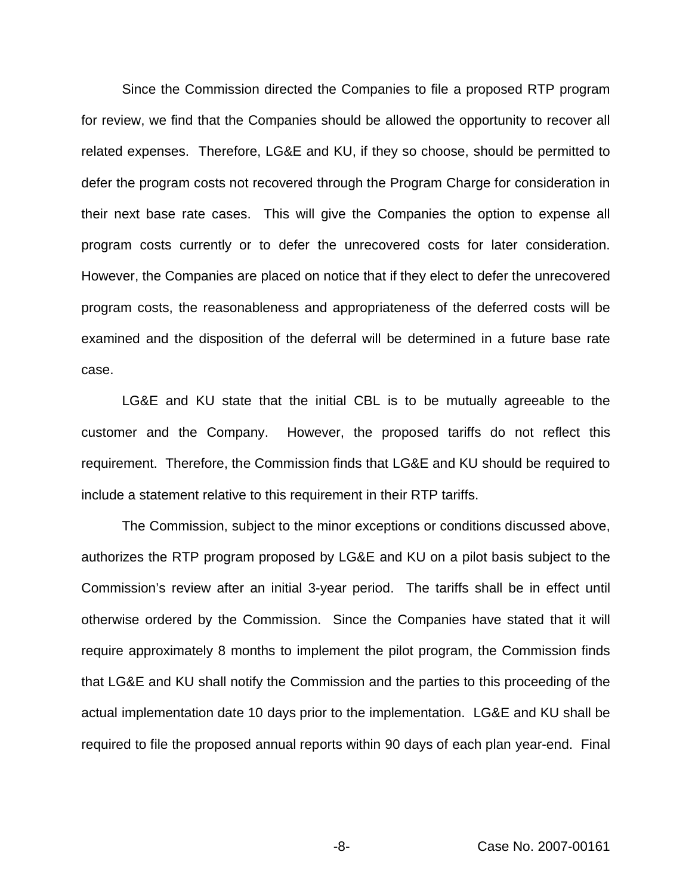Since the Commission directed the Companies to file a proposed RTP program for review, we find that the Companies should be allowed the opportunity to recover all related expenses. Therefore, LG&E and KU, if they so choose, should be permitted to defer the program costs not recovered through the Program Charge for consideration in their next base rate cases. This will give the Companies the option to expense all program costs currently or to defer the unrecovered costs for later consideration. However, the Companies are placed on notice that if they elect to defer the unrecovered program costs, the reasonableness and appropriateness of the deferred costs will be examined and the disposition of the deferral will be determined in a future base rate case.

LG&E and KU state that the initial CBL is to be mutually agreeable to the customer and the Company. However, the proposed tariffs do not reflect this requirement. Therefore, the Commission finds that LG&E and KU should be required to include a statement relative to this requirement in their RTP tariffs.

The Commission, subject to the minor exceptions or conditions discussed above, authorizes the RTP program proposed by LG&E and KU on a pilot basis subject to the Commission's review after an initial 3-year period. The tariffs shall be in effect until otherwise ordered by the Commission. Since the Companies have stated that it will require approximately 8 months to implement the pilot program, the Commission finds that LG&E and KU shall notify the Commission and the parties to this proceeding of the actual implementation date 10 days prior to the implementation. LG&E and KU shall be required to file the proposed annual reports within 90 days of each plan year-end. Final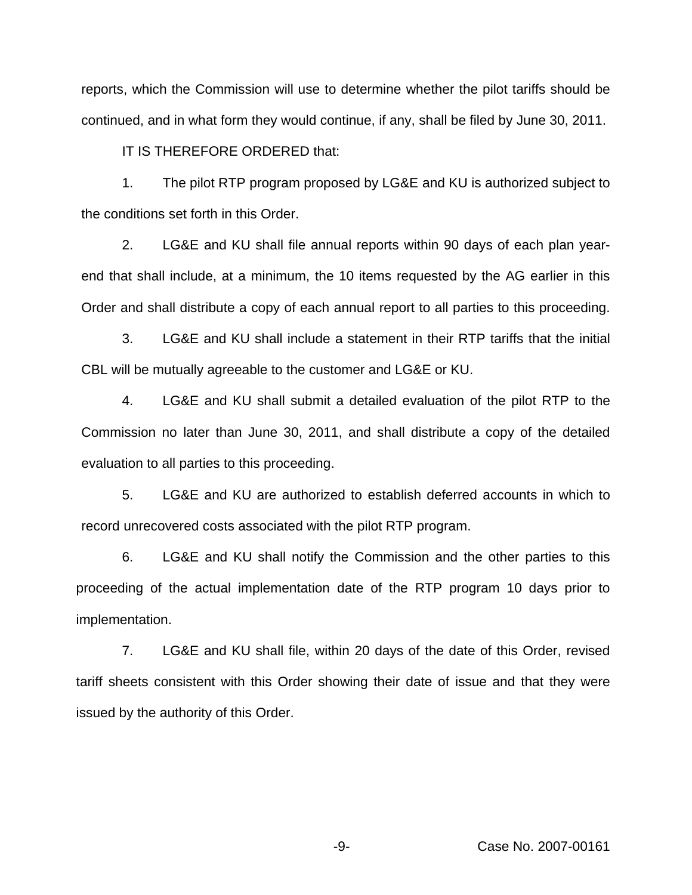reports, which the Commission will use to determine whether the pilot tariffs should be continued, and in what form they would continue, if any, shall be filed by June 30, 2011.

IT IS THEREFORE ORDERED that:

1. The pilot RTP program proposed by LG&E and KU is authorized subject to the conditions set forth in this Order.

2. LG&E and KU shall file annual reports within 90 days of each plan yearend that shall include, at a minimum, the 10 items requested by the AG earlier in this Order and shall distribute a copy of each annual report to all parties to this proceeding.

3. LG&E and KU shall include a statement in their RTP tariffs that the initial CBL will be mutually agreeable to the customer and LG&E or KU.

4. LG&E and KU shall submit a detailed evaluation of the pilot RTP to the Commission no later than June 30, 2011, and shall distribute a copy of the detailed evaluation to all parties to this proceeding.

5. LG&E and KU are authorized to establish deferred accounts in which to record unrecovered costs associated with the pilot RTP program.

6. LG&E and KU shall notify the Commission and the other parties to this proceeding of the actual implementation date of the RTP program 10 days prior to implementation.

7. LG&E and KU shall file, within 20 days of the date of this Order, revised tariff sheets consistent with this Order showing their date of issue and that they were issued by the authority of this Order.